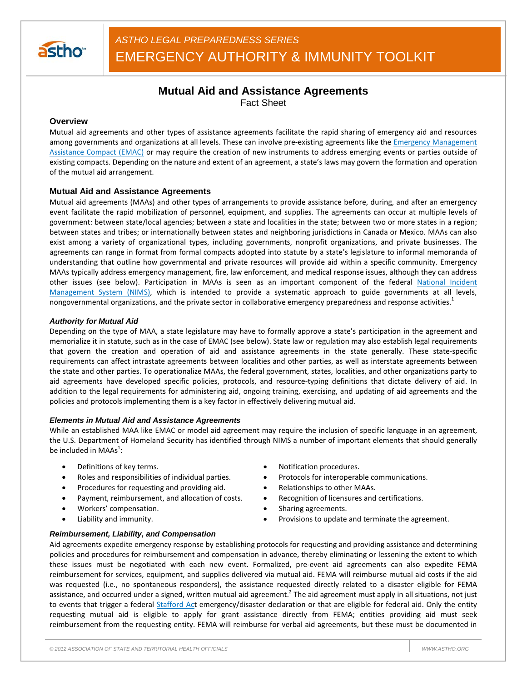

# **Mutual Aid and Assistance Agreements**

Fact Sheet

## **Overview**

Mutual aid agreements and other types of assistance agreements facilitate the rapid sharing of emergency aid and resources among governments and organizations at all levels. These can involve pre-existing agreements like the *Emergency Management* Assistance Compact (EMAC) or may require the creation of new instruments to address emerging events or parties outside of existing compacts. Depending on the nature and extent of an agreement, a state's laws may govern the formation and operation of the mutual aid arrangement.

## **Mutual Aid and Assistance Agreements**

Mutual aid agreements (MAAs) and other types of arrangements to provide assistance before, during, and after an emergency event facilitate the rapid mobilization of personnel, equipment, and supplies. The agreements can occur at multiple levels of government: between state/local agencies; between a state and localities in the state; between two or more states in a region; between states and tribes; or internationally between states and neighboring jurisdictions in Canada or Mexico. MAAs can also exist among a variety of organizational types, including governments, nonprofit organizations, and private businesses. The agreements can range in format from formal compacts adopted into statute by a state's legislature to informal memoranda of understanding that outline how governmental and private resources will provide aid within a specific community. Emergency MAAs typically address emergency management, fire, law enforcement, and medical response issues, although they can address other issues (see below). Participation in MAAs is seen as an important component of the federal National Incident Management System (NIMS), which is intended to provide a systematic approach to guide governments at all levels, nongovernmental organizations, and the private sector in collaborative emergency preparedness and response activities.<sup>1</sup>

#### *Authority for Mutual Aid*

Depending on the type of MAA, a state legislature may have to formally approve a state's participation in the agreement and memorialize it in statute, such as in the case of EMAC (see below). State law or regulation may also establish legal requirements that govern the creation and operation of aid and assistance agreements in the state generally. These state-specific requirements can affect intrastate agreements between localities and other parties, as well as interstate agreements between the state and other parties. To operationalize MAAs, the federal government, states, localities, and other organizations party to aid agreements have developed specific policies, protocols, and resource-typing definitions that dictate delivery of aid. In addition to the legal requirements for administering aid, ongoing training, exercising, and updating of aid agreements and the policies and protocols implementing them is a key factor in effectively delivering mutual aid.

## *Elements in Mutual Aid and Assistance Agreements*

While an established MAA like EMAC or model aid agreement may require the inclusion of specific language in an agreement, the U.S. Department of Homeland Security has identified through NIMS a number of important elements that should generally be included in MAAs $^1$ :

- 
- 
- Procedures for requesting and providing aid. Relationships to other MAAs.
- Payment, reimbursement, and allocation of costs. <br>
Recognition of licensures and certifications.
- Workers' compensation.  $\bullet$  Sharing agreements.
- 
- **Definitions of key terms. •** Notification procedures.
- Roles and responsibilities of individual parties.  $\bullet$  Protocols for interoperable communications.
	-
	-
	-
	- Liability and immunity. The same control of the settlement of the agreement. The provisions to update and terminate the agreement.

## *Reimbursement, Liability, and Compensation*

Aid agreements expedite emergency response by establishing protocols for requesting and providing assistance and determining policies and procedures for reimbursement and compensation in advance, thereby eliminating or lessening the extent to which these issues must be negotiated with each new event. Formalized, pre-event aid agreements can also expedite FEMA reimbursement for services, equipment, and supplies delivered via mutual aid. FEMA will reimburse mutual aid costs if the aid was requested (i.e., no spontaneous responders), the assistance requested directly related to a disaster eligible for FEMA assistance, and occurred under a signed, written mutual aid agreement.<sup>2</sup> The aid agreement must apply in all situations, not just to events that trigger a federal Stafford Act emergency/disaster declaration or that are eligible for federal aid. Only the entity requesting mutual aid is eligible to apply for grant assistance directly from FEMA; entities providing aid must seek reimbursement from the requesting entity. FEMA will reimburse for verbal aid agreements, but these must be documented in